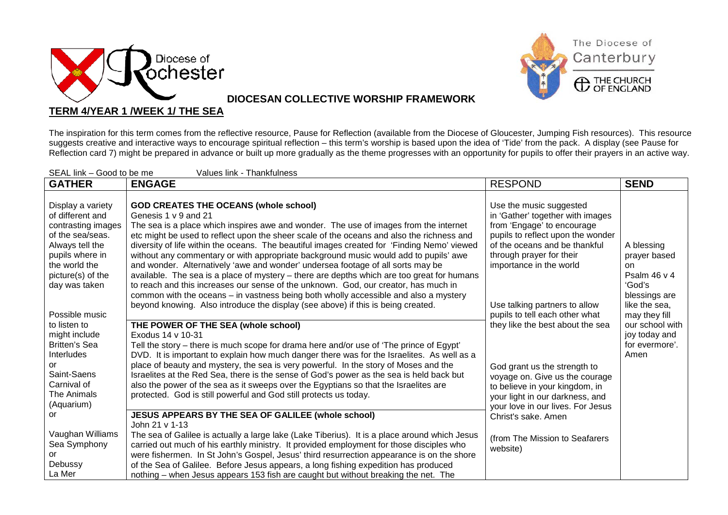



## **DIOCESAN COLLECTIVE WORSHIP FRAMEWORK**

## **TERM 4/YEAR 1 /WEEK 1/ THE SEA**

The inspiration for this term comes from the reflective resource, Pause for Reflection (available from the Diocese of Gloucester, Jumping Fish resources). This resource suggests creative and interactive ways to encourage spiritual reflection – this term's worship is based upon the idea of 'Tide' from the pack. A display (see Pause for Reflection card 7) might be prepared in advance or built up more gradually as the theme progresses with an opportunity for pupils to offer their prayers in an active way.

| SEAL link - Good to be me<br>Values link - Thankfulness |                                                                                               |                                   |                 |
|---------------------------------------------------------|-----------------------------------------------------------------------------------------------|-----------------------------------|-----------------|
| <b>GATHER</b>                                           | <b>ENGAGE</b>                                                                                 | <b>RESPOND</b>                    | <b>SEND</b>     |
|                                                         |                                                                                               |                                   |                 |
| Display a variety                                       | <b>GOD CREATES THE OCEANS (whole school)</b>                                                  | Use the music suggested           |                 |
| of different and                                        | Genesis 1 v 9 and 21                                                                          | in 'Gather' together with images  |                 |
| contrasting images                                      | The sea is a place which inspires awe and wonder. The use of images from the internet         | from 'Engage' to encourage        |                 |
| of the sea/seas.                                        | etc might be used to reflect upon the sheer scale of the oceans and also the richness and     | pupils to reflect upon the wonder |                 |
| Always tell the                                         | diversity of life within the oceans. The beautiful images created for 'Finding Nemo' viewed   | of the oceans and be thankful     | A blessing      |
| pupils where in                                         | without any commentary or with appropriate background music would add to pupils' awe          | through prayer for their          | prayer based    |
| the world the                                           | and wonder. Alternatively 'awe and wonder' undersea footage of all sorts may be               | importance in the world           | on.             |
| picture(s) of the                                       | available. The sea is a place of mystery - there are depths which are too great for humans    |                                   | Psalm 46 v 4    |
| day was taken                                           | to reach and this increases our sense of the unknown. God, our creator, has much in           |                                   | 'God's          |
|                                                         | common with the oceans - in vastness being both wholly accessible and also a mystery          |                                   | blessings are   |
|                                                         | beyond knowing. Also introduce the display (see above) if this is being created.              | Use talking partners to allow     | like the sea,   |
| Possible music                                          |                                                                                               | pupils to tell each other what    | may they fill   |
| to listen to                                            | THE POWER OF THE SEA (whole school)                                                           | they like the best about the sea  | our school with |
| might include                                           | Exodus 14 v 10-31                                                                             |                                   | joy today and   |
| <b>Britten's Sea</b>                                    | Tell the story – there is much scope for drama here and/or use of 'The prince of Egypt'       |                                   | for evermore'.  |
| Interludes                                              | DVD. It is important to explain how much danger there was for the Israelites. As well as a    |                                   | Amen            |
| or                                                      | place of beauty and mystery, the sea is very powerful. In the story of Moses and the          | God grant us the strength to      |                 |
| Saint-Saens                                             | Israelites at the Red Sea, there is the sense of God's power as the sea is held back but      | voyage on. Give us the courage    |                 |
| Carnival of                                             | also the power of the sea as it sweeps over the Egyptians so that the Israelites are          | to believe in your kingdom, in    |                 |
| The Animals                                             | protected. God is still powerful and God still protects us today.                             | your light in our darkness, and   |                 |
| (Aquarium)                                              |                                                                                               | your love in our lives. For Jesus |                 |
| or                                                      | JESUS APPEARS BY THE SEA OF GALILEE (whole school)                                            | Christ's sake. Amen               |                 |
|                                                         | John 21 v 1-13                                                                                |                                   |                 |
| Vaughan Williams                                        | The sea of Galilee is actually a large lake (Lake Tiberius). It is a place around which Jesus | (from The Mission to Seafarers    |                 |
| Sea Symphony                                            | carried out much of his earthly ministry. It provided employment for those disciples who      | website)                          |                 |
| or                                                      | were fishermen. In St John's Gospel, Jesus' third resurrection appearance is on the shore     |                                   |                 |
| Debussy                                                 | of the Sea of Galilee. Before Jesus appears, a long fishing expedition has produced           |                                   |                 |
| La Mer                                                  | nothing – when Jesus appears 153 fish are caught but without breaking the net. The            |                                   |                 |